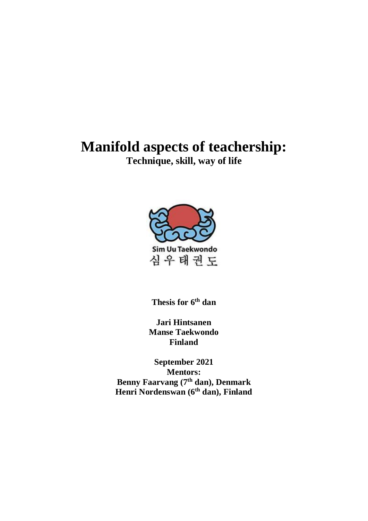# **Manifold aspects of teachership:**

**Technique, skill, way of life**



**Thesis for 6th dan**

**Jari Hintsanen Manse Taekwondo Finland**

**September 2021 Mentors: Benny Faarvang (7th dan), Denmark Henri Nordenswan (6th dan), Finland**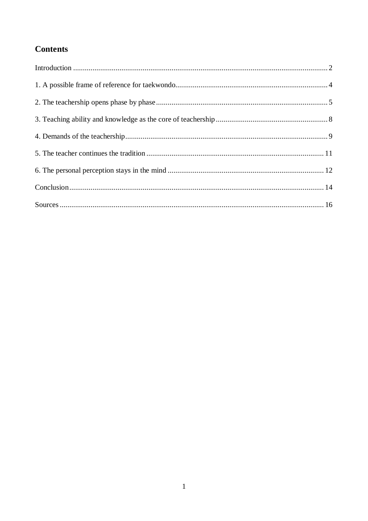## **Contents**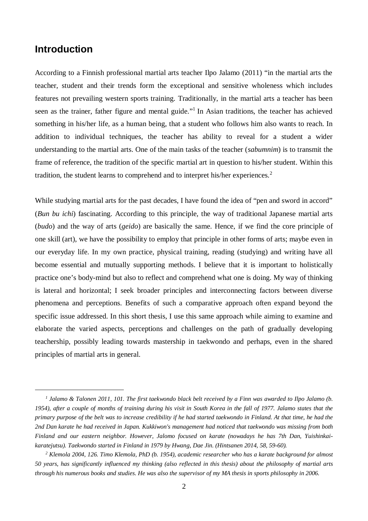#### **Introduction**

According to a Finnish professional martial arts teacher Ilpo Jalamo (2011) "in the martial arts the teacher, student and their trends form the exceptional and sensitive wholeness which includes features not prevailing western sports training. Traditionally, in the martial arts a teacher has been seen as the trainer, father figure and mental guide."<sup>1</sup> In Asian traditions, the teacher has achieved something in his/her life, as a human being, that a student who follows him also wants to reach. In addition to individual techniques, the teacher has ability to reveal for a student a wider understanding to the martial arts. One of the main tasks of the teacher (*sabumnim*) is to transmit the frame of reference, the tradition of the specific martial art in question to his/her student. Within this tradition, the student learns to comprehend and to interpret his/her experiences.<sup>2</sup>

While studying martial arts for the past decades, I have found the idea of "pen and sword in accord" (*Bun bu ichi*) fascinating. According to this principle, the way of traditional Japanese martial arts (*budo*) and the way of arts (*geido*) are basically the same. Hence, if we find the core principle of one skill (art), we have the possibility to employ that principle in other forms of arts; maybe even in our everyday life. In my own practice, physical training, reading (studying) and writing have all become essential and mutually supporting methods. I believe that it is important to holistically practice one's body-mind but also to reflect and comprehend what one is doing. My way of thinking is lateral and horizontal; I seek broader principles and interconnecting factors between diverse phenomena and perceptions. Benefits of such a comparative approach often expand beyond the specific issue addressed. In this short thesis, I use this same approach while aiming to examine and elaborate the varied aspects, perceptions and challenges on the path of gradually developing teachership, possibly leading towards mastership in taekwondo and perhaps, even in the shared principles of martial arts in general.

*<sup>1</sup> Jalamo & Talonen 2011, 101. The first taekwondo black belt received by a Finn was awarded to Ilpo Jalamo (b. 1954), after a couple of months of training during his visit in South Korea in the fall of 1977. Jalamo states that the primary purpose of the belt was to increase credibility if he had started taekwondo in Finland. At that time, he had the 2nd Dan karate he had received in Japan. Kukkiwon's management had noticed that taekwondo was missing from both Finland and our eastern neighbor. However, Jalomo focused on karate (nowadays he has 7th Dan, Yuishinkaikaratejutsu). Taekwondo started in Finland in 1979 by Hwang, Dae Jin. (Hintsanen 2014, 58, 59-60).*

<sup>&</sup>lt;sup>2</sup> Klemola 2004, 126. Timo Klemola, PhD (b. 1954), academic researcher who has a karate background for almost *50 years, has significantly influenced my thinking (also reflected in this thesis) about the philosophy of martial arts through his numerous books and studies. He was also the supervisor of my MA thesis in sports philosophy in 2006.*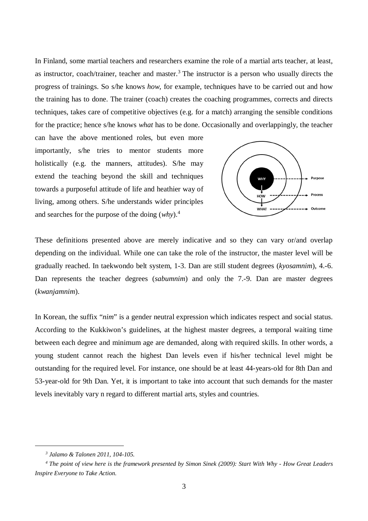In Finland, some martial teachers and researchers examine the role of a martial arts teacher, at least, as instructor, coach/trainer, teacher and master. $3$  The instructor is a person who usually directs the progress of trainings. So s/he knows *how*, for example, techniques have to be carried out and how the training has to done. The trainer (coach) creates the coaching programmes, corrects and directs techniques, takes care of competitive objectives (e.g. for a match) arranging the sensible conditions for the practice; hence s/he knows *what* has to be done. Occasionally and overlappingly, the teacher

can have the above mentioned roles, but even more importantly, s/he tries to mentor students more holistically (e.g. the manners, attitudes). S/he may extend the teaching beyond the skill and techniques towards a purposeful attitude of life and heathier way of living, among others. S/he understands wider principles and searches for the purpose of the doing (*why*).<sup>4</sup>



These definitions presented above are merely indicative and so they can vary or/and overlap depending on the individual. While one can take the role of the instructor, the master level will be gradually reached. In taekwondo belt system, 1-3. Dan are still student degrees (*kyosamnim*), 4.-6. Dan represents the teacher degrees (*sabumnim*) and only the 7.-9. Dan are master degrees (*kwanjamnim*).

In Korean, the suffix "*nim*" is a gender neutral expression which indicates respect and social status. According to the Kukkiwon's guidelines, at the highest master degrees, a temporal waiting time between each degree and minimum age are demanded, along with required skills. In other words, a young student cannot reach the highest Dan levels even if his/her technical level might be outstanding for the required level. For instance, one should be at least 44-years-old for 8th Dan and 53-year-old for 9th Dan. Yet, it is important to take into account that such demands for the master levels inevitably vary n regard to different martial arts, styles and countries.

*<sup>3</sup> Jalamo & Talonen 2011, 104-105.*

<sup>&</sup>lt;sup>4</sup> The point of view here is the framework presented by Simon Sinek (2009): Start With Why - How Great Leaders *Inspire Everyone to Take Action.*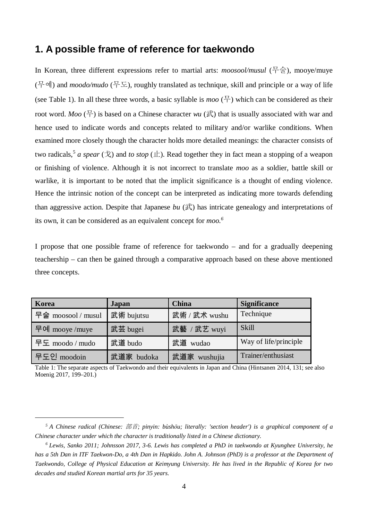#### **1. A possible frame of reference for taekwondo**

In Korean, three different expressions refer to martial arts: *moosool/musul* (무술), mooye/muye (무예) and *moodo/mudo* (무도), roughly translated as technique, skill and principle or a way of life (see Table 1). In all these three words, a basic syllable is *moo*  $(\frac{\pi}{l})$  which can be considered as their root word. *Moo* ( $\pm$ ) is based on a Chinese character *wu* ( $\pm$ ) that is usually associated with war and hence used to indicate words and concepts related to military and/or warlike conditions. When examined more closely though the character holds more detailed meanings: the character consists of two radicals,<sup>5</sup> *a spear* (戈) and *to stop* (止). Read together they in fact mean a stopping of a weapon or finishing of violence. Although it is not incorrect to translate *moo* as a soldier, battle skill or warlike, it is important to be noted that the implicit significance is a thought of ending violence. Hence the intrinsic notion of the concept can be interpreted as indicating more towards defending than aggressive action. Despite that Japanese *bu*  $(\vec{\mathbb{R}})$  has intricate genealogy and interpretations of its own, it can be considered as an equivalent concept for *moo.<sup>6</sup>*

I propose that one possible frame of reference for taekwondo – and for a gradually deepening teachership – can then be gained through a comparative approach based on these above mentioned three concepts.

| Korea              | Japan      | <b>China</b>  | <b>Significance</b>   |  |
|--------------------|------------|---------------|-----------------------|--|
| 무술 moosool / musul | 武術 bujutsu | 武術 / 武术 wushu | Technique             |  |
| 무예 mooye /muye     | 武芸 bugei   | 武藝 / 武艺 wuyi  | Skill                 |  |
| 무도 moodo / mudo    | 武道 budo    | 武道 wudao      | Way of life/principle |  |
| 무도인 moodoin        | 武道家 budoka | 武道家 wushujia  | Trainer/enthusiast    |  |

Table 1: The separate aspects of Taekwondo and their equivalents in Japan and China (Hintsanen 2014, 131; see also Moenig 2017, 199–201.)

*<sup>5</sup> A Chinese radical (Chinese:* 部首*; pinyin: bùshǒu; literally: 'section header') is a graphical component of a Chinese character under which the character is traditionally listed in a Chinese dictionary.*

*<sup>6</sup> Lewis, Sanko 2011; Johnsson 2017, 3-6. Lewis has completed a PhD in taekwondo at Kyunghee University, he has a 5th Dan in ITF Taekwon-Do, a 4th Dan in Hapkido. John A. Johnson (PhD) is a professor at the Department of Taekwondo, College of Physical Education at Keimyung University. He has lived in the Republic of Korea for two decades and studied Korean martial arts for 35 years.*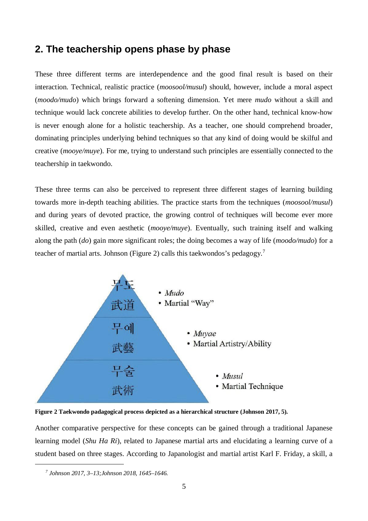#### **2. The teachership opens phase by phase**

These three different terms are interdependence and the good final result is based on their interaction. Technical, realistic practice (*moosool/musul*) should, however, include a moral aspect (*moodo/mudo*) which brings forward a softening dimension. Yet mere *mudo* without a skill and technique would lack concrete abilities to develop further. On the other hand, technical know-how is never enough alone for a holistic teachership. As a teacher, one should comprehend broader, dominating principles underlying behind techniques so that any kind of doing would be skilful and creative (*mooye/muye*). For me, trying to understand such principles are essentially connected to the teachership in taekwondo.

These three terms can also be perceived to represent three different stages of learning building towards more in-depth teaching abilities. The practice starts from the techniques (*moosool/musul*) and during years of devoted practice, the growing control of techniques will become ever more skilled, creative and even aesthetic (*mooye/muye*). Eventually, such training itself and walking along the path (*do*) gain more significant roles; the doing becomes a way of life (*moodo/mudo*) for a teacher of martial arts. Johnson (Figure 2) calls this taekwondos's pedagogy.<sup>7</sup>



**Figure 2 Taekwondo padagogical process depicted as a hierarchical structure (Johnson 2017, 5).**

Another comparative perspective for these concepts can be gained through a traditional Japanese learning model (*Shu Ha Ri*), related to Japanese martial arts and elucidating a learning curve of a student based on three stages. According to Japanologist and martial artist Karl F. Friday, a skill, a

*<sup>7</sup> Johnson 2017, 3–13;Johnson 2018, 1645–1646.*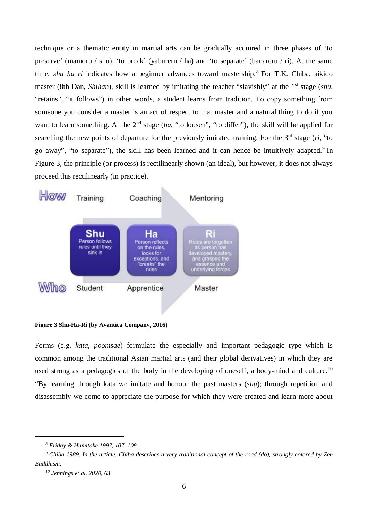technique or a thematic entity in martial arts can be gradually acquired in three phases of 'to preserve' (mamoru / shu), 'to break' (yabureru / ha) and 'to separate' (banareru / ri). At the same time, *shu ha ri* indicates how a beginner advances toward mastership.<sup>8</sup> For T.K. Chiba, aikido master (8th Dan, *Shihan*), skill is learned by imitating the teacher "slavishly" at the 1<sup>st</sup> stage (*shu*, "retains", "it follows") in other words, a student learns from tradition. To copy something from someone you consider a master is an act of respect to that master and a natural thing to do if you want to learn something. At the 2<sup>nd</sup> stage (*ha*, "to loosen", "to differ"), the skill will be applied for searching the new points of departure for the previously imitated training. For the  $3<sup>rd</sup>$  stage ( $ri$ , "to go away", "to separate"), the skill has been learned and it can hence be intuitively adapted.<sup>9</sup> In Figure 3, the principle (or process) is rectilinearly shown (an ideal), but however, it does not always proceed this rectilinearly (in practice).



**Figure 3 Shu-Ha-Ri (by Avantica Company, 2016)**

Forms (e.g. *kata*, *poomsae*) formulate the especially and important pedagogic type which is common among the traditional Asian martial arts (and their global derivatives) in which they are used strong as a pedagogics of the body in the developing of oneself, a body-mind and culture.<sup>10</sup> "By learning through kata we imitate and honour the past masters (*shu*); through repetition and disassembly we come to appreciate the purpose for which they were created and learn more about

*<sup>8</sup> Friday & Humitake 1997, 107–108.*

<sup>&</sup>lt;sup>9</sup> Chiba 1989. In the article, Chiba describes a very traditional concept of the road (do), strongly colored by Zen *Buddhism.*

*<sup>10</sup> Jennings et al. 2020, 63.*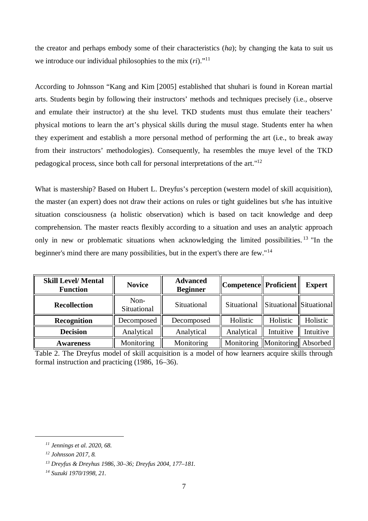the creator and perhaps embody some of their characteristics (*ha*); by changing the kata to suit us we introduce our individual philosophies to the mix (*ri*)."<sup>11</sup>

According to Johnsson "Kang and Kim [2005] established that shuhari is found in Korean martial arts. Students begin by following their instructors' methods and techniques precisely (i.e., observe and emulate their instructor) at the shu level. TKD students must thus emulate their teachers' physical motions to learn the art's physical skills during the musul stage. Students enter ha when they experiment and establish a more personal method of performing the art (i.e., to break away from their instructors' methodologies). Consequently, ha resembles the muye level of the TKD pedagogical process, since both call for personal interpretations of the art."<sup>12</sup>

What is mastership? Based on Hubert L. Dreyfus's perception (western model of skill acquisition), the master (an expert) does not draw their actions on rules or tight guidelines but s/he has intuitive situation consciousness (a holistic observation) which is based on tacit knowledge and deep comprehension. The master reacts flexibly according to a situation and uses an analytic approach only in new or problematic situations when acknowledging the limited possibilities.  $13$  "In the beginner's mind there are many possibilities, but in the expert's there are few."<sup>14</sup>

| <b>Skill Level/ Mental</b><br><b>Function</b> | <b>Novice</b>       | <b>Advanced</b><br><b>Beginner</b> | Competence   Proficient |                         | <b>Expert</b> |
|-----------------------------------------------|---------------------|------------------------------------|-------------------------|-------------------------|---------------|
| <b>Recollection</b>                           | Non-<br>Situational | Situational                        | Situational             | Situational Situational |               |
| <b>Recognition</b>                            | Decomposed          | Decomposed                         | Holistic                | Holistic                | Holistic      |
| <b>Decision</b>                               | Analytical          | Analytical                         | Analytical              | Intuitive               | Intuitive     |
| <b>Awareness</b>                              | Monitoring          | Monitoring                         | Monitoring              | Monitoring   Absorbed   |               |

Table 2. The Dreyfus model of skill acquisition is a model of how learners acquire skills through formal instruction and practicing (1986, 16–36).

*<sup>11</sup> Jennings et al. 2020, 68.*

*<sup>12</sup> Johnsson 2017, 8.*

*<sup>13</sup> Dreyfus & Dreyhus 1986, 30–36; Dreyfus 2004, 177–181.*

*<sup>14</sup> Suzuki 1970/1998, 21.*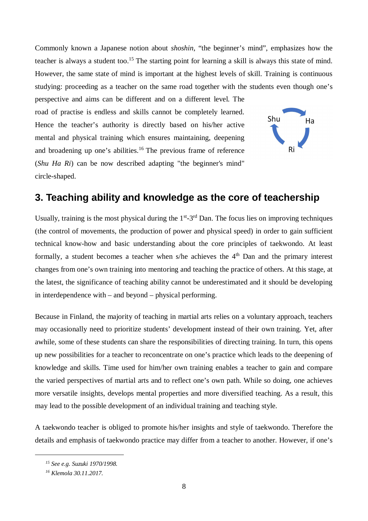Commonly known a Japanese notion about *shoshin*, "the beginner's mind", emphasizes how the teacher is always a student too.<sup>15</sup> The starting point for learning a skill is always this state of mind. However, the same state of mind is important at the highest levels of skill. Training is continuous studying: proceeding as a teacher on the same road together with the students even though one's

perspective and aims can be different and on a different level. The road of practise is endless and skills cannot be completely learned. Hence the teacher's authority is directly based on his/her active mental and physical training which ensures maintaining, deepening and broadening up one's abilities.<sup>16</sup> The previous frame of reference (*Shu Ha Ri*) can be now described adapting "the beginner's mind" circle-shaped.



### **3. Teaching ability and knowledge as the core of teachership**

Usually, training is the most physical during the  $1<sup>st</sup>-3<sup>rd</sup>$  Dan. The focus lies on improving techniques (the control of movements, the production of power and physical speed) in order to gain sufficient technical know-how and basic understanding about the core principles of taekwondo. At least formally, a student becomes a teacher when s/he achieves the  $4<sup>th</sup>$  Dan and the primary interest changes from one's own training into mentoring and teaching the practice of others. At this stage, at the latest, the significance of teaching ability cannot be underestimated and it should be developing in interdependence with – and beyond – physical performing.

Because in Finland, the majority of teaching in martial arts relies on a voluntary approach, teachers may occasionally need to prioritize students' development instead of their own training. Yet, after awhile, some of these students can share the responsibilities of directing training. In turn, this opens up new possibilities for a teacher to reconcentrate on one's practice which leads to the deepening of knowledge and skills. Time used for him/her own training enables a teacher to gain and compare the varied perspectives of martial arts and to reflect one's own path. While so doing, one achieves more versatile insights, develops mental properties and more diversified teaching. As a result, this may lead to the possible development of an individual training and teaching style.

A taekwondo teacher is obliged to promote his/her insights and style of taekwondo. Therefore the details and emphasis of taekwondo practice may differ from a teacher to another. However, if one's

*<sup>15</sup> See e.g. Suzuki 1970/1998.*

*<sup>16</sup> Klemola 30.11.2017.*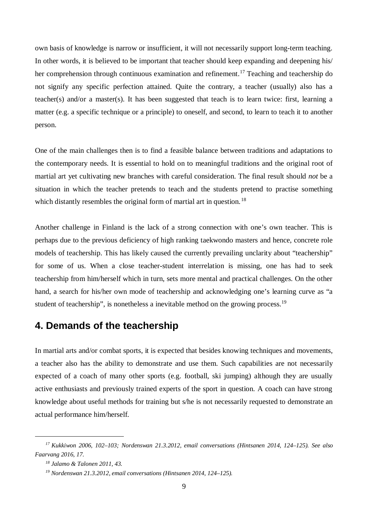own basis of knowledge is narrow or insufficient, it will not necessarily support long-term teaching. In other words, it is believed to be important that teacher should keep expanding and deepening his/ her comprehension through continuous examination and refinement.<sup>17</sup> Teaching and teachership do not signify any specific perfection attained. Quite the contrary, a teacher (usually) also has a teacher(s) and/or a master(s). It has been suggested that teach is to learn twice: first, learning a matter (e.g. a specific technique or a principle) to oneself, and second, to learn to teach it to another person.

One of the main challenges then is to find a feasible balance between traditions and adaptations to the contemporary needs. It is essential to hold on to meaningful traditions and the original root of martial art yet cultivating new branches with careful consideration. The final result should *not* be a situation in which the teacher pretends to teach and the students pretend to practise something which distantly resembles the original form of martial art in question.<sup>18</sup>

Another challenge in Finland is the lack of a strong connection with one's own teacher. This is perhaps due to the previous deficiency of high ranking taekwondo masters and hence, concrete role models of teachership. This has likely caused the currently prevailing unclarity about "teachership" for some of us. When a close teacher-student interrelation is missing, one has had to seek teachership from him/herself which in turn, sets more mental and practical challenges. On the other hand, a search for his/her own mode of teachership and acknowledging one's learning curve as "a student of teachership", is nonetheless a inevitable method on the growing process.<sup>19</sup>

## **4. Demands of the teachership**

In martial arts and/or combat sports, it is expected that besides knowing techniques and movements, a teacher also has the ability to demonstrate and use them. Such capabilities are not necessarily expected of a coach of many other sports (e.g. football, ski jumping) although they are usually active enthusiasts and previously trained experts of the sport in question. A coach can have strong knowledge about useful methods for training but s/he is not necessarily requested to demonstrate an actual performance him/herself.

*<sup>17</sup> Kukkiwon 2006, 102–103; Nordenswan 21.3.2012, email conversations (Hintsanen 2014, 124–125). See also Faarvang 2016, 17.*

*<sup>18</sup> Jalamo & Talonen 2011, 43.*

*<sup>19</sup> Nordenswan 21.3.2012, email conversations (Hintsanen 2014, 124–125).*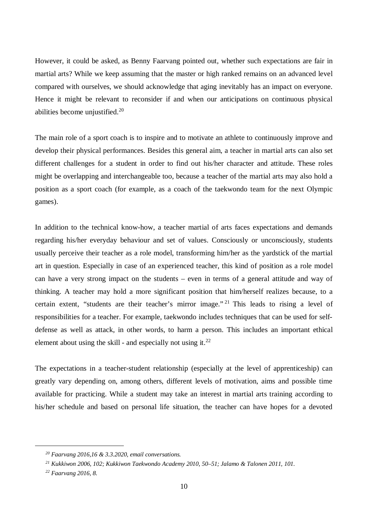However, it could be asked, as Benny Faarvang pointed out, whether such expectations are fair in martial arts? While we keep assuming that the master or high ranked remains on an advanced level compared with ourselves, we should acknowledge that aging inevitably has an impact on everyone. Hence it might be relevant to reconsider if and when our anticipations on continuous physical abilities become unjustified.<sup>20</sup>

The main role of a sport coach is to inspire and to motivate an athlete to continuously improve and develop their physical performances. Besides this general aim, a teacher in martial arts can also set different challenges for a student in order to find out his/her character and attitude. These roles might be overlapping and interchangeable too, because a teacher of the martial arts may also hold a position as a sport coach (for example, as a coach of the taekwondo team for the next Olympic games).

In addition to the technical know-how, a teacher martial of arts faces expectations and demands regarding his/her everyday behaviour and set of values. Consciously or unconsciously, students usually perceive their teacher as a role model, transforming him/her as the yardstick of the martial art in question. Especially in case of an experienced teacher, this kind of position as a role model can have a very strong impact on the students – even in terms of a general attitude and way of thinking. A teacher may hold a more significant position that him/herself realizes because, to a certain extent, "students are their teacher's mirror image." <sup>21</sup> This leads to rising a level of responsibilities for a teacher. For example, taekwondo includes techniques that can be used for selfdefense as well as attack, in other words, to harm a person. This includes an important ethical element about using the skill - and especially not using it. $^{22}$ 

The expectations in a teacher-student relationship (especially at the level of apprenticeship) can greatly vary depending on, among others, different levels of motivation, aims and possible time available for practicing. While a student may take an interest in martial arts training according to his/her schedule and based on personal life situation, the teacher can have hopes for a devoted

*<sup>20</sup> Faarvang 2016,16 & 3.3.2020, email conversations.*

*<sup>21</sup> Kukkiwon 2006, 102; Kukkiwon Taekwondo Academy 2010, 50–51; Jalamo & Talonen 2011, 101.*

*<sup>22</sup> Faarvang 2016, 8.*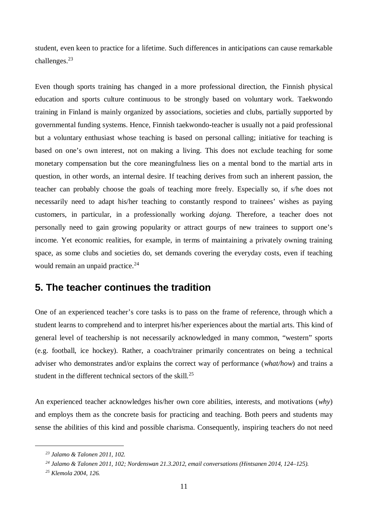student, even keen to practice for a lifetime. Such differences in anticipations can cause remarkable challenges.<sup>23</sup>

Even though sports training has changed in a more professional direction, the Finnish physical education and sports culture continuous to be strongly based on voluntary work. Taekwondo training in Finland is mainly organized by associations, societies and clubs, partially supported by governmental funding systems. Hence, Finnish taekwondo-teacher is usually not a paid professional but a voluntary enthusiast whose teaching is based on personal calling; initiative for teaching is based on one's own interest, not on making a living. This does not exclude teaching for some monetary compensation but the core meaningfulness lies on a mental bond to the martial arts in question, in other words, an internal desire. If teaching derives from such an inherent passion, the teacher can probably choose the goals of teaching more freely. Especially so, if s/he does not necessarily need to adapt his/her teaching to constantly respond to trainees' wishes as paying customers, in particular, in a professionally working *dojang.* Therefore, a teacher does not personally need to gain growing popularity or attract gourps of new trainees to support one's income. Yet economic realities, for example, in terms of maintaining a privately owning training space, as some clubs and societies do, set demands covering the everyday costs, even if teaching would remain an unpaid practice.<sup>24</sup>

#### **5. The teacher continues the tradition**

One of an experienced teacher's core tasks is to pass on the frame of reference, through which a student learns to comprehend and to interpret his/her experiences about the martial arts. This kind of general level of teachership is not necessarily acknowledged in many common, "western" sports (e.g. football, ice hockey). Rather, a coach/trainer primarily concentrates on being a technical adviser who demonstrates and/or explains the correct way of performance (*what/how*) and trains a student in the different technical sectors of the skill.<sup>25</sup>

An experienced teacher acknowledges his/her own core abilities, interests, and motivations (*why*) and employs them as the concrete basis for practicing and teaching. Both peers and students may sense the abilities of this kind and possible charisma. Consequently, inspiring teachers do not need

*<sup>23</sup> Jalamo & Talonen 2011, 102.*

*<sup>24</sup> Jalamo & Talonen 2011, 102; Nordenswan 21.3.2012, email conversations (Hintsanen 2014, 124–125).*

*<sup>25</sup> Klemola 2004, 126.*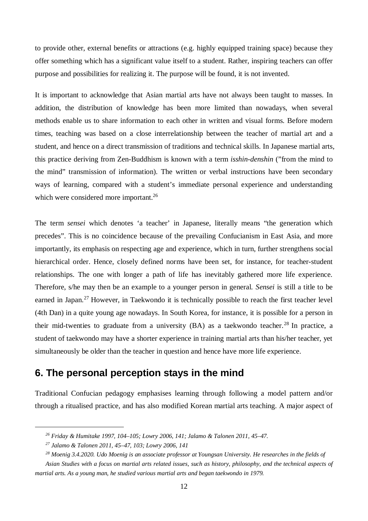to provide other, external benefits or attractions (e.g. highly equipped training space) because they offer something which has a significant value itself to a student. Rather, inspiring teachers can offer purpose and possibilities for realizing it. The purpose will be found, it is not invented.

It is important to acknowledge that Asian martial arts have not always been taught to masses. In addition, the distribution of knowledge has been more limited than nowadays, when several methods enable us to share information to each other in written and visual forms. Before modern times, teaching was based on a close interrelationship between the teacher of martial art and a student, and hence on a direct transmission of traditions and technical skills. In Japanese martial arts, this practice deriving from Zen-Buddhism is known with a term *isshin-denshin* ("from the mind to the mind" transmission of information). The written or verbal instructions have been secondary ways of learning, compared with a student's immediate personal experience and understanding which were considered more important.<sup>26</sup>

The term *sensei* which denotes 'a teacher' in Japanese, literally means "the generation which precedes". This is no coincidence because of the prevailing Confucianism in East Asia, and more importantly, its emphasis on respecting age and experience, which in turn, further strengthens social hierarchical order. Hence, closely defined norms have been set, for instance, for teacher-student relationships. The one with longer a path of life has inevitably gathered more life experience. Therefore, s/he may then be an example to a younger person in general. *Sensei* is still a title to be earned in Japan.<sup>27</sup> However, in Taekwondo it is technically possible to reach the first teacher level (4th Dan) in a quite young age nowadays. In South Korea, for instance, it is possible for a person in their mid-twenties to graduate from a university  $(BA)$  as a taekwondo teacher.<sup>28</sup> In practice, a student of taekwondo may have a shorter experience in training martial arts than his/her teacher, yet simultaneously be older than the teacher in question and hence have more life experience.

## **6. The personal perception stays in the mind**

Traditional Confucian pedagogy emphasises learning through following a model pattern and/or through a ritualised practice, and has also modified Korean martial arts teaching. A major aspect of

*<sup>26</sup> Friday & Humitake 1997, 104–105; Lowry 2006, 141; Jalamo & Talonen 2011, 45–47.*

*<sup>27</sup> Jalamo & Talonen 2011, 45–47, 103; Lowry 2006, 141*

*<sup>28</sup> Moenig 3.4.2020. Udo Moenig is an associate professor at Youngsan University. He researches in the fields of*

*Asian Studies with a focus on martial arts related issues, such as history, philosophy, and the technical aspects of martial arts. As a young man, he studied various martial arts and began taekwondo in 1979.*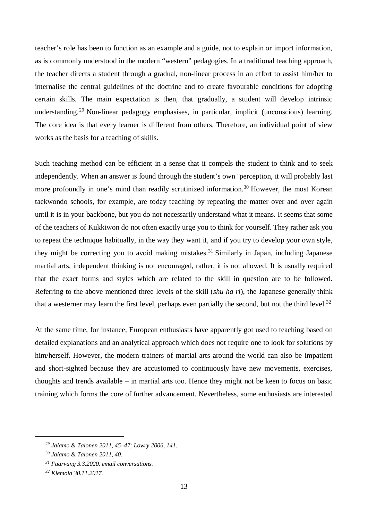teacher's role has been to function as an example and a guide, not to explain or import information, as is commonly understood in the modern "western" pedagogies. In a traditional teaching approach, the teacher directs a student through a gradual, non-linear process in an effort to assist him/her to internalise the central guidelines of the doctrine and to create favourable conditions for adopting certain skills. The main expectation is then, that gradually, a student will develop intrinsic understanding.<sup>29</sup> Non-linear pedagogy emphasises, in particular, implicit (unconscious) learning. The core idea is that every learner is different from others. Therefore, an individual point of view works as the basis for a teaching of skills.

Such teaching method can be efficient in a sense that it compels the student to think and to seek independently. When an answer is found through the student's own ¨perception, it will probably last more profoundly in one's mind than readily scrutinized information.<sup>30</sup> However, the most Korean taekwondo schools, for example, are today teaching by repeating the matter over and over again until it is in your backbone, but you do not necessarily understand what it means. It seems that some of the teachers of Kukkiwon do not often exactly urge you to think for yourself. They rather ask you to repeat the technique habitually, in the way they want it, and if you try to develop your own style, they might be correcting you to avoid making mistakes.<sup>31</sup> Similarly in Japan, including Japanese martial arts, independent thinking is not encouraged, rather, it is not allowed. It is usually required that the exact forms and styles which are related to the skill in question are to be followed. Referring to the above mentioned three levels of the skill (*shu ha ri*), the Japanese generally think that a westerner may learn the first level, perhaps even partially the second, but not the third level.<sup>32</sup>

At the same time, for instance, European enthusiasts have apparently got used to teaching based on detailed explanations and an analytical approach which does not require one to look for solutions by him/herself. However, the modern trainers of martial arts around the world can also be impatient and short-sighted because they are accustomed to continuously have new movements, exercises, thoughts and trends available – in martial arts too. Hence they might not be keen to focus on basic training which forms the core of further advancement. Nevertheless, some enthusiasts are interested

*<sup>29</sup> Jalamo & Talonen 2011, 45–47; Lowry 2006, 141.*

*<sup>30</sup> Jalamo & Talonen 2011, 40.*

*<sup>31</sup> Faarvang 3.3.2020. email conversations.*

*<sup>32</sup> Klemola 30.11.2017.*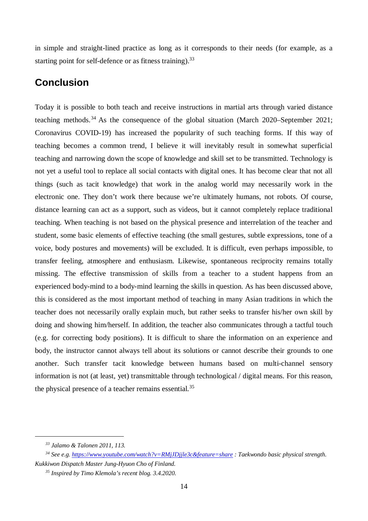in simple and straight-lined practice as long as it corresponds to their needs (for example, as a starting point for self-defence or as fitness training).  $33$ 

#### **Conclusion**

Today it is possible to both teach and receive instructions in martial arts through varied distance teaching methods.<sup>34</sup> As the consequence of the global situation (March 2020–September 2021; Coronavirus COVID-19) has increased the popularity of such teaching forms. If this way of teaching becomes a common trend, I believe it will inevitably result in somewhat superficial teaching and narrowing down the scope of knowledge and skill set to be transmitted. Technology is not yet a useful tool to replace all social contacts with digital ones. It has become clear that not all things (such as tacit knowledge) that work in the analog world may necessarily work in the electronic one. They don't work there because we're ultimately humans, not robots. Of course, distance learning can act as a support, such as videos, but it cannot completely replace traditional teaching. When teaching is not based on the physical presence and interrelation of the teacher and student, some basic elements of effective teaching (the small gestures, subtle expressions, tone of a voice, body postures and movements) will be excluded. It is difficult, even perhaps impossible, to transfer feeling, atmosphere and enthusiasm. Likewise, spontaneous reciprocity remains totally missing. The effective transmission of skills from a teacher to a student happens from an experienced body-mind to a body-mind learning the skills in question. As has been discussed above, this is considered as the most important method of teaching in many Asian traditions in which the teacher does not necessarily orally explain much, but rather seeks to transfer his/her own skill by doing and showing him/herself. In addition, the teacher also communicates through a tactful touch (e.g. for correcting body positions). It is difficult to share the information on an experience and body, the instructor cannot always tell about its solutions or cannot describe their grounds to one another. Such transfer tacit knowledge between humans based on multi-channel sensory information is not (at least, yet) transmittable through technological / digital means. For this reason, the physical presence of a teacher remains essential.<sup>35</sup>

*<sup>33</sup> Jalamo & Talonen 2011, 113.*

*<sup>34</sup> See e.g. https://www.youtube.com/watch?v=RMjJDjjle3c&feature=share : Taekwondo basic physical strength. Kukkiwon Dispatch Master Jung-Hyuon Cho of Finland.*

*<sup>35</sup> Inspired by Timo Klemola's recent blog. 3.4.2020.*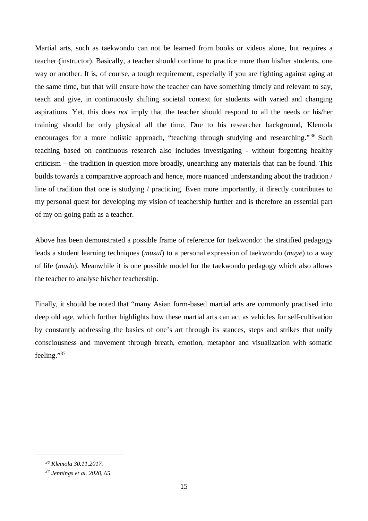Martial arts, such as taekwondo can not be learned from books or videos alone, but requires a teacher (instructor). Basically, a teacher should continue to practice more than his/her students, one way or another. It is, of course, a tough requirement, especially if you are fighting against aging at the same time, but that will ensure how the teacher can have something timely and relevant to say, teach and give, in continuously shifting societal context for students with varied and changing aspirations. Yet, this does *not* imply that the teacher should respond to all the needs or his/her training should be only physical all the time. Due to his researcher background, Klemola encourages for a more holistic approach, "teaching through studying and researching."<sup>36</sup> Such teaching based on continuous research also includes investigating - without forgetting healthy criticism – the tradition in question more broadly, unearthing any materials that can be found. This builds towards a comparative approach and hence, more nuanced understanding about the tradition / line of tradition that one is studying / practicing. Even more importantly, it directly contributes to my personal quest for developing my vision of teachership further and is therefore an essential part of my on-going path as a teacher.

Above has been demonstrated a possible frame of reference for taekwondo: the stratified pedagogy leads a student learning techniques (*musul*) to a personal expression of taekwondo (*muye*) to a way of life (*mudo*). Meanwhile it is one possible model for the taekwondo pedagogy which also allows the teacher to analyse his/her teachership.

Finally, it should be noted that "many Asian form-based martial arts are commonly practised into deep old age, which further highlights how these martial arts can act as vehicles for self-cultivation by constantly addressing the basics of one's art through its stances, steps and strikes that unify consciousness and movement through breath, emotion, metaphor and visualization with somatic feeling."<sup>37</sup>

*<sup>36</sup> Klemola 30.11.2017.*

*<sup>37</sup> Jennings et al. 2020, 65.*